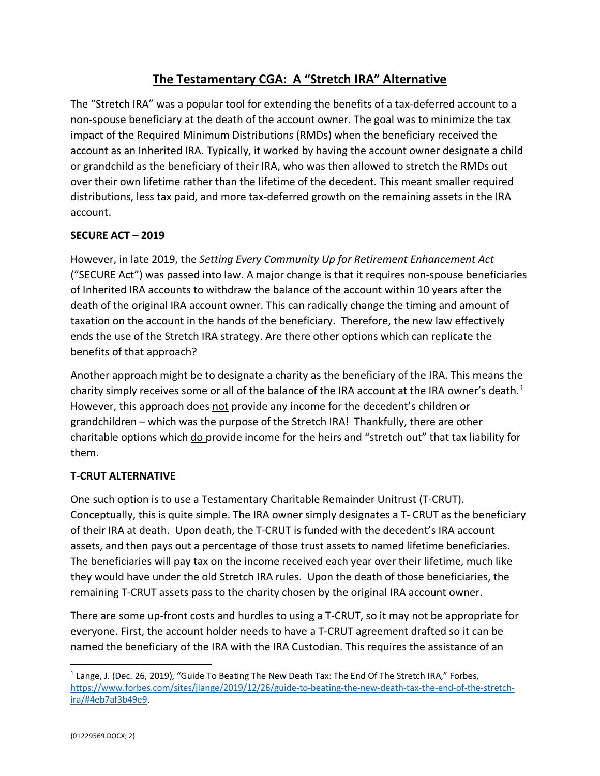# **The Testamentary CGA: A "Stretch IRA" Alternative**

The "Stretch IRA" was a popular tool for extending the benefits of a tax-deferred account to a non-spouse beneficiary at the death of the account owner. The goal was to minimize the tax impact of the Required Minimum Distributions (RMDs) when the beneficiary received the account as an Inherited IRA. Typically, it worked by having the account owner designate a child or grandchild as the beneficiary of their IRA, who was then allowed to stretch the RMDs out over their own lifetime rather than the lifetime of the decedent. This meant smaller required distributions, less tax paid, and more tax-deferred growth on the remaining assets in the IRA account.

### **SECURE ACT – 2019**

However, in late 2019, the *Setting Every Community Up for Retirement Enhancement Act* ("SECURE Act") was passed into law. A major change is that it requires non-spouse beneficiaries of Inherited IRA accounts to withdraw the balance of the account within 10 years after the death of the original IRA account owner. This can radically change the timing and amount of taxation on the account in the hands of the beneficiary. Therefore, the new law effectively ends the use of the Stretch IRA strategy. Are there other options which can replicate the benefits of that approach?

Another approach might be to designate a charity as the beneficiary of the IRA. This means the charity simply receives some or all of the balance of the IRA account at the IRA owner's death.<sup>[1](#page-0-0)</sup> However, this approach does not provide any income for the decedent's children or grandchildren – which was the purpose of the Stretch IRA! Thankfully, there are other charitable options which do provide income for the heirs and "stretch out" that tax liability for them.

# **T-CRUT ALTERNATIVE**

One such option is to use a Testamentary Charitable Remainder Unitrust (T-CRUT). Conceptually, this is quite simple. The IRA owner simply designates a T- CRUT as the beneficiary of their IRA at death. Upon death, the T-CRUT is funded with the decedent's IRA account assets, and then pays out a percentage of those trust assets to named lifetime beneficiaries. The beneficiaries will pay tax on the income received each year over their lifetime, much like they would have under the old Stretch IRA rules. Upon the death of those beneficiaries, the remaining T-CRUT assets pass to the charity chosen by the original IRA account owner.

There are some up-front costs and hurdles to using a T-CRUT, so it may not be appropriate for everyone. First, the account holder needs to have a T-CRUT agreement drafted so it can be named the beneficiary of the IRA with the IRA Custodian. This requires the assistance of an

<span id="page-0-0"></span> $1$  Lange, J. (Dec. 26, 2019), "Guide To Beating The New Death Tax: The End Of The Stretch IRA," Forbes, [https://www.forbes.com/sites/jlange/2019/12/26/guide-to-beating-the-new-death-tax-the-end-of-the-stretch](https://www.forbes.com/sites/jlange/2019/12/26/guide-to-beating-the-new-death-tax-the-end-of-the-stretch-ira/#4eb7af3b49e9)[ira/#4eb7af3b49e9.](https://www.forbes.com/sites/jlange/2019/12/26/guide-to-beating-the-new-death-tax-the-end-of-the-stretch-ira/#4eb7af3b49e9)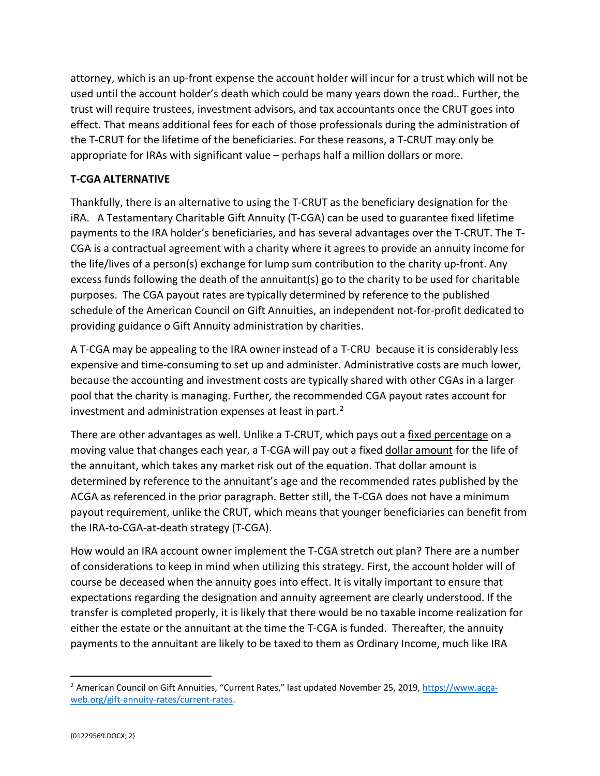attorney, which is an up-front expense the account holder will incur for a trust which will not be used until the account holder's death which could be many years down the road.. Further, the trust will require trustees, investment advisors, and tax accountants once the CRUT goes into effect. That means additional fees for each of those professionals during the administration of the T-CRUT for the lifetime of the beneficiaries. For these reasons, a T-CRUT may only be appropriate for IRAs with significant value – perhaps half a million dollars or more.

## **T-CGA ALTERNATIVE**

Thankfully, there is an alternative to using the T-CRUT as the beneficiary designation for the iRA. A Testamentary Charitable Gift Annuity (T-CGA) can be used to guarantee fixed lifetime payments to the IRA holder's beneficiaries, and has several advantages over the T-CRUT. The T-CGA is a contractual agreement with a charity where it agrees to provide an annuity income for the life/lives of a person(s) exchange for lump sum contribution to the charity up-front. Any excess funds following the death of the annuitant(s) go to the charity to be used for charitable purposes. The CGA payout rates are typically determined by reference to the published schedule of the American Council on Gift Annuities, an independent not-for-profit dedicated to providing guidance o Gift Annuity administration by charities.

A T-CGA may be appealing to the IRA owner instead of a T-CRU because it is considerably less expensive and time-consuming to set up and administer. Administrative costs are much lower, because the accounting and investment costs are typically shared with other CGAs in a larger pool that the charity is managing. Further, the recommended CGA payout rates account for investment and administration expenses at least in part. $<sup>2</sup>$  $<sup>2</sup>$  $<sup>2</sup>$ </sup>

There are other advantages as well. Unlike a T-CRUT, which pays out a fixed percentage on a moving value that changes each year, a T-CGA will pay out a fixed dollar amount for the life of the annuitant, which takes any market risk out of the equation. That dollar amount is determined by reference to the annuitant's age and the recommended rates published by the ACGA as referenced in the prior paragraph. Better still, the T-CGA does not have a minimum payout requirement, unlike the CRUT, which means that younger beneficiaries can benefit from the IRA-to-CGA-at-death strategy (T-CGA).

How would an IRA account owner implement the T-CGA stretch out plan? There are a number of considerations to keep in mind when utilizing this strategy. First, the account holder will of course be deceased when the annuity goes into effect. It is vitally important to ensure that expectations regarding the designation and annuity agreement are clearly understood. If the transfer is completed properly, it is likely that there would be no taxable income realization for either the estate or the annuitant at the time the T-CGA is funded. Thereafter, the annuity payments to the annuitant are likely to be taxed to them as Ordinary Income, much like IRA

<span id="page-1-0"></span><sup>&</sup>lt;sup>2</sup> American Council on Gift Annuities, "Current Rates," last updated November 25, 2019, [https://www.acga](https://www.acga-web.org/gift-annuity-rates/current-rates)[web.org/gift-annuity-rates/current-rates.](https://www.acga-web.org/gift-annuity-rates/current-rates)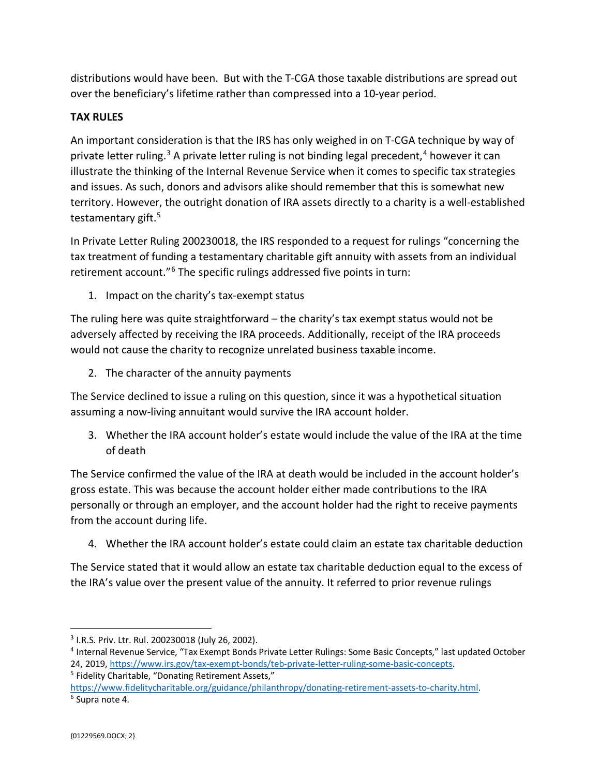distributions would have been. But with the T-CGA those taxable distributions are spread out over the beneficiary's lifetime rather than compressed into a 10-year period.

# **TAX RULES**

An important consideration is that the IRS has only weighed in on T-CGA technique by way of private letter ruling.<sup>[3](#page-2-0)</sup> A private letter ruling is not binding legal precedent,<sup>[4](#page-2-1)</sup> however it can illustrate the thinking of the Internal Revenue Service when it comes to specific tax strategies and issues. As such, donors and advisors alike should remember that this is somewhat new territory. However, the outright donation of IRA assets directly to a charity is a well-established testamentary gift.<sup>[5](#page-2-2)</sup>

In Private Letter Ruling 200230018, the IRS responded to a request for rulings "concerning the tax treatment of funding a testamentary charitable gift annuity with assets from an individual retirement account."<sup>[6](#page-2-3)</sup> The specific rulings addressed five points in turn:

1. Impact on the charity's tax-exempt status

The ruling here was quite straightforward – the charity's tax exempt status would not be adversely affected by receiving the IRA proceeds. Additionally, receipt of the IRA proceeds would not cause the charity to recognize unrelated business taxable income.

2. The character of the annuity payments

The Service declined to issue a ruling on this question, since it was a hypothetical situation assuming a now-living annuitant would survive the IRA account holder.

3. Whether the IRA account holder's estate would include the value of the IRA at the time of death

The Service confirmed the value of the IRA at death would be included in the account holder's gross estate. This was because the account holder either made contributions to the IRA personally or through an employer, and the account holder had the right to receive payments from the account during life.

4. Whether the IRA account holder's estate could claim an estate tax charitable deduction

The Service stated that it would allow an estate tax charitable deduction equal to the excess of the IRA's value over the present value of the annuity. It referred to prior revenue rulings

<span id="page-2-2"></span>

<span id="page-2-0"></span><sup>3</sup> I.R.S. Priv. Ltr. Rul. 200230018 (July 26, 2002).

<span id="page-2-1"></span><sup>4</sup> Internal Revenue Service, "Tax Exempt Bonds Private Letter Rulings: Some Basic Concepts," last updated October 24, 2019, [https://www.irs.gov/tax-exempt-bonds/teb-private-letter-ruling-some-basic-concepts.](https://www.irs.gov/tax-exempt-bonds/teb-private-letter-ruling-some-basic-concepts)<br><sup>5</sup> Fidelity Charitable, "Donating Retirement Assets,"

<span id="page-2-3"></span>[https://www.fidelitycharitable.org/guidance/philanthropy/donating-retirement-assets-to-charity.html.](https://www.fidelitycharitable.org/guidance/philanthropy/donating-retirement-assets-to-charity.html)<br><sup>6</sup> Supra note 4.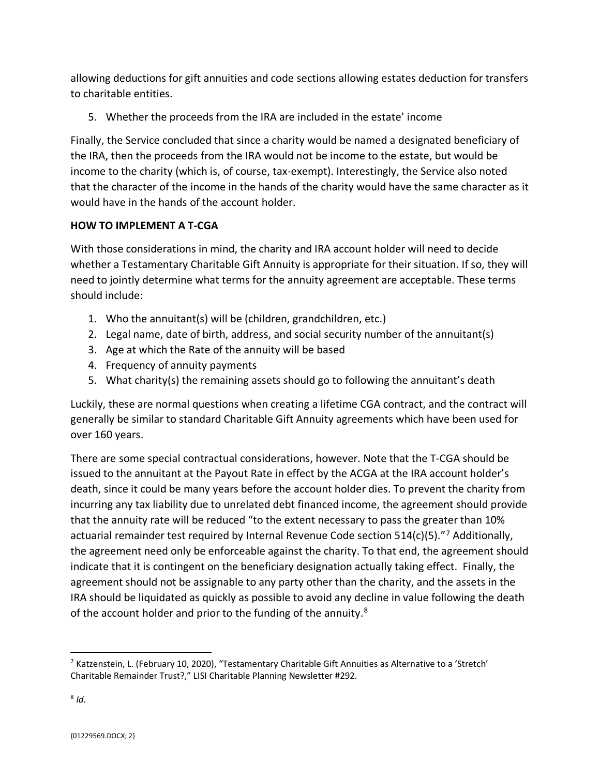allowing deductions for gift annuities and code sections allowing estates deduction for transfers to charitable entities.

5. Whether the proceeds from the IRA are included in the estate' income

Finally, the Service concluded that since a charity would be named a designated beneficiary of the IRA, then the proceeds from the IRA would not be income to the estate, but would be income to the charity (which is, of course, tax-exempt). Interestingly, the Service also noted that the character of the income in the hands of the charity would have the same character as it would have in the hands of the account holder.

# **HOW TO IMPLEMENT A T-CGA**

With those considerations in mind, the charity and IRA account holder will need to decide whether a Testamentary Charitable Gift Annuity is appropriate for their situation. If so, they will need to jointly determine what terms for the annuity agreement are acceptable. These terms should include:

- 1. Who the annuitant(s) will be (children, grandchildren, etc.)
- 2. Legal name, date of birth, address, and social security number of the annuitant(s)
- 3. Age at which the Rate of the annuity will be based
- 4. Frequency of annuity payments
- 5. What charity(s) the remaining assets should go to following the annuitant's death

Luckily, these are normal questions when creating a lifetime CGA contract, and the contract will generally be similar to standard Charitable Gift Annuity agreements which have been used for over 160 years.

There are some special contractual considerations, however. Note that the T-CGA should be issued to the annuitant at the Payout Rate in effect by the ACGA at the IRA account holder's death, since it could be many years before the account holder dies. To prevent the charity from incurring any tax liability due to unrelated debt financed income, the agreement should provide that the annuity rate will be reduced "to the extent necessary to pass the greater than 10% actuarial remainder test required by Internal Revenue Code section  $514(c)(5)$ ."<sup>[7](#page-3-0)</sup> Additionally, the agreement need only be enforceable against the charity. To that end, the agreement should indicate that it is contingent on the beneficiary designation actually taking effect. Finally, the agreement should not be assignable to any party other than the charity, and the assets in the IRA should be liquidated as quickly as possible to avoid any decline in value following the death of the account holder and prior to the funding of the annuity.<sup>[8](#page-3-1)</sup>

<span id="page-3-1"></span><span id="page-3-0"></span><sup>7</sup> Katzenstein, L. (February 10, 2020), "Testamentary Charitable Gift Annuities as Alternative to a 'Stretch' Charitable Remainder Trust?," LISI Charitable Planning Newsletter #292.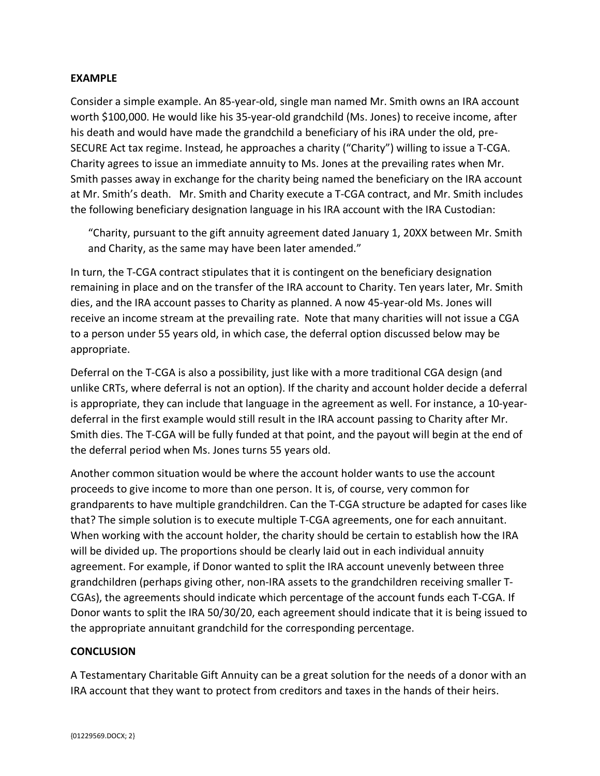### **EXAMPLE**

Consider a simple example. An 85-year-old, single man named Mr. Smith owns an IRA account worth \$100,000. He would like his 35-year-old grandchild (Ms. Jones) to receive income, after his death and would have made the grandchild a beneficiary of his iRA under the old, pre-SECURE Act tax regime. Instead, he approaches a charity ("Charity") willing to issue a T-CGA. Charity agrees to issue an immediate annuity to Ms. Jones at the prevailing rates when Mr. Smith passes away in exchange for the charity being named the beneficiary on the IRA account at Mr. Smith's death. Mr. Smith and Charity execute a T-CGA contract, and Mr. Smith includes the following beneficiary designation language in his IRA account with the IRA Custodian:

"Charity, pursuant to the gift annuity agreement dated January 1, 20XX between Mr. Smith and Charity, as the same may have been later amended."

In turn, the T-CGA contract stipulates that it is contingent on the beneficiary designation remaining in place and on the transfer of the IRA account to Charity. Ten years later, Mr. Smith dies, and the IRA account passes to Charity as planned. A now 45-year-old Ms. Jones will receive an income stream at the prevailing rate. Note that many charities will not issue a CGA to a person under 55 years old, in which case, the deferral option discussed below may be appropriate.

Deferral on the T-CGA is also a possibility, just like with a more traditional CGA design (and unlike CRTs, where deferral is not an option). If the charity and account holder decide a deferral is appropriate, they can include that language in the agreement as well. For instance, a 10-yeardeferral in the first example would still result in the IRA account passing to Charity after Mr. Smith dies. The T-CGA will be fully funded at that point, and the payout will begin at the end of the deferral period when Ms. Jones turns 55 years old.

Another common situation would be where the account holder wants to use the account proceeds to give income to more than one person. It is, of course, very common for grandparents to have multiple grandchildren. Can the T-CGA structure be adapted for cases like that? The simple solution is to execute multiple T-CGA agreements, one for each annuitant. When working with the account holder, the charity should be certain to establish how the IRA will be divided up. The proportions should be clearly laid out in each individual annuity agreement. For example, if Donor wanted to split the IRA account unevenly between three grandchildren (perhaps giving other, non-IRA assets to the grandchildren receiving smaller T-CGAs), the agreements should indicate which percentage of the account funds each T-CGA. If Donor wants to split the IRA 50/30/20, each agreement should indicate that it is being issued to the appropriate annuitant grandchild for the corresponding percentage.

#### **CONCLUSION**

A Testamentary Charitable Gift Annuity can be a great solution for the needs of a donor with an IRA account that they want to protect from creditors and taxes in the hands of their heirs.